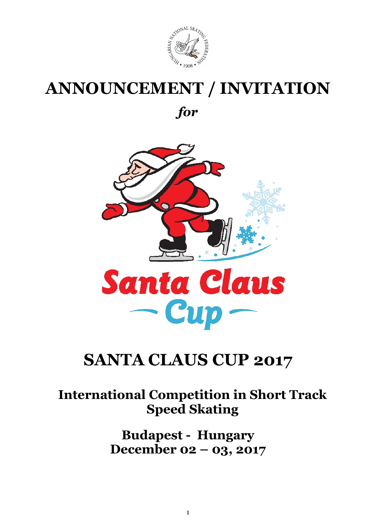

# ANNOUNCEMENT / INVITATION

for



## SANTA CLAUS CUP 2017

## International Competition in Short Track Speed Skating

Budapest - Hungary December 02 – 03, 2017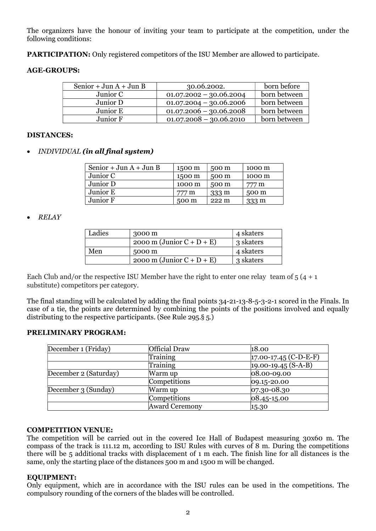The organizers have the honour of inviting your team to participate at the competition, under the following conditions:

PARTICIPATION: Only registered competitors of the ISU Member are allowed to participate.

#### AGE-GROUPS:

| Senior + Jun $A$ + Jun B | 30.06.2002.               | born before  |
|--------------------------|---------------------------|--------------|
| Junior C                 | $01.07.2002 - 30.06.2004$ | born between |
| Junior D                 | $01.07.2004 - 30.06.2006$ | born between |
| Junior E                 | $01.07.2006 - 30.06.2008$ | born between |
| Junior F                 | $01.07.2008 - 30.06.2010$ | born between |

#### DISTANCES:

INDIVIDUAL (in all final system)

| Senior + Jun $A$ + Jun B | 1500 m | 500 m           | 1000 m |
|--------------------------|--------|-----------------|--------|
| Junior C                 | 1500 m | 500 m           | 1000 m |
| Junior D                 | 1000 m | 500 m           | 777 m  |
| Junior E                 | 777 m  | $333 \text{ m}$ | 500 m  |
| Junior F.                | 500 m  | $222 \text{ m}$ | 333 m  |

• RELAY

| Ladies | 3000 m                       | 4 skaters |
|--------|------------------------------|-----------|
|        | 2000 m (Junior $C + D + E$ ) | 3 skaters |
| Men    | 5000 m                       | 4 skaters |
|        | 2000 m (Junior $C + D + E$ ) | 3 skaters |

Each Club and/or the respective ISU Member have the right to enter one relay team of  $5(4 + 1)$ substitute) competitors per category.

The final standing will be calculated by adding the final points 34-21-13-8-5-3-2-1 scored in the Finals. In case of a tie, the points are determined by combining the points of the positions involved and equally distributing to the respective participants. (See Rule 295.§ 5.)

#### PRELIMINARY PROGRAM:

| December 1 (Friday)   | Official Draw         | 18.00                   |
|-----------------------|-----------------------|-------------------------|
|                       | Training              | $17.00-17.45$ (C-D-E-F) |
|                       | Training              | $19.00 - 19.45(S-A-B)$  |
| December 2 (Saturday) | Warm up               | 08.00-09.00             |
|                       | Competitions          | $ 09.15 - 20.00 $       |
| December 3 (Sunday)   | Warm up               | $ 07.30 - 08.30 $       |
|                       | Competitions          | $ 08.45 - 15.00 $       |
|                       | <b>Award Ceremony</b> | 15.30                   |

#### COMPETITION VENUE:

The competition will be carried out in the covered Ice Hall of Budapest measuring 30x60 m. The compass of the track is 111.12 m, according to ISU Rules with curves of 8 m. During the competitions there will be 5 additional tracks with displacement of 1 m each. The finish line for all distances is the same, only the starting place of the distances 500 m and 1500 m will be changed.

#### EQUIPMENT:

Only equipment, which are in accordance with the ISU rules can be used in the competitions. The compulsory rounding of the corners of the blades will be controlled.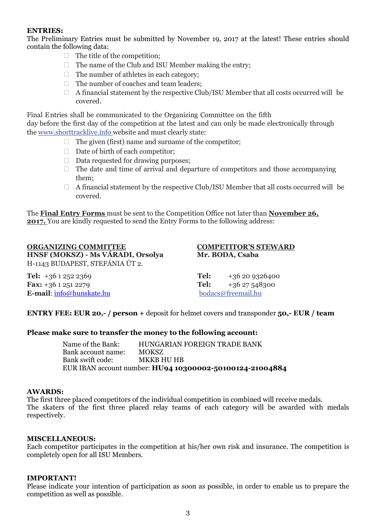#### ENTRIES:

The Preliminary Entries must be submitted by November 19, 2017 at the latest! These entries should contain the following data:

- $\Box$  The title of the competition:
- $\Box$  The name of the Club and ISU Member making the entry;
- $\Box$  The number of athletes in each category:
- $\Box$  The number of coaches and team leaders:
- $\Box$  A financial statement by the respective Club/ISU Member that all costs occurred will be covered.

Final Entries shall be communicated to the Organizing Committee on the fifth day before the first day of the competition at the latest and can only be made electronically through the www.shorttracklive.info website and must clearly state:

- $\Box$  The given (first) name and surname of the competitor:
- $\Box$  Date of birth of each competitor;
- $\Box$  Data requested for drawing purposes:
- $\Box$  The date and time of arrival and departure of competitors and those accompanying them;
- $\Box$  A financial statement by the respective Club/ISU Member that all costs occurred will be covered.

The Final Entry Forms must be sent to the Competition Office not later than November 26, 2017. You are kindly requested to send the Entry Forms to the following address:

#### ORGANIZING COMMITTEE COMPETITOR'S STEWARD HNSF (MOKSZ) - Ms VÁRADI, Orsolya Mr. BODA, Csaba H-1143 BUDAPEST, STEFÁNIA ÚT 2.

| <b>Tel:</b> +36 1 252 2369       | Tel: | +36 20 9326400     |
|----------------------------------|------|--------------------|
| <b>Fax:</b> +36 1 251 2279       | Tel: | +36 27 548300      |
| <b>E-mail</b> : info@hunskate.hu |      | bodacs@freemail.hu |

ENTRY FEE: EUR 20,- / person + deposit for helmet covers and transponder 50,- EUR / team

#### Please make sure to transfer the money to the following account:

Name of the Bank: HUNGARIAN FOREIGN TRADE BANK Bank account name: MOKSZ Bank swift code: MKKB HU HB EUR IBAN account number: HU94 10300002-50100124-21004884

#### AWARDS:

The first three placed competitors of the individual competition in combined will receive medals. The skaters of the first three placed relay teams of each category will be awarded with medals respectively.

#### MISCELLANEOUS:

Each competitor participates in the competition at his/her own risk and insurance. The competition is completely open for all ISU Members.

#### IMPORTANT!

Please indicate your intention of participation as soon as possible, in order to enable us to prepare the competition as well as possible.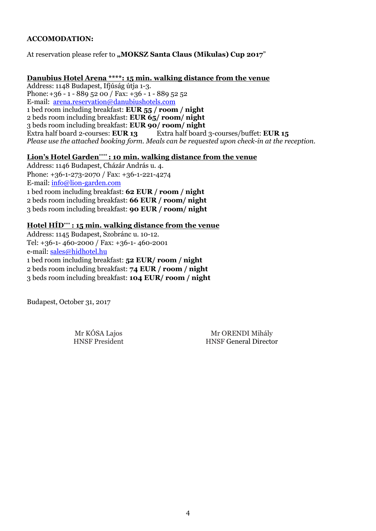#### ACCOMODATION:

At reservation please refer to "MOKSZ Santa Claus (Mikulas) Cup 2017"

### Danubius Hotel Arena \*\*\*\*: 15 min. walking distance from the venue

Address: 1148 Budapest, Ifjúság útja 1-3. Phone:  $+36 - 1 - 889$  52 00 / Fax:  $+36 - 1 - 889$  52 52 E-mail: arena.reservation@danubiushotels.com 1 bed room including breakfast: EUR 55 / room / night 2 beds room including breakfast: EUR 65/ room/ night 3 beds room including breakfast: EUR 90/ room/ night Extra half board 2-courses: EUR 13 Extra half board 3-courses/buffet: EUR 15 Please use the attached booking form. Meals can be requested upon check-in at the reception.

#### Lion's Hotel Garden\*\*\*\*: 10 min. walking distance from the venue

Address: 1146 Budapest, Cházár András u. 4. Phone: +36-1-273-2070 / Fax: +36-1-221-4274 E-mail: info@lion-garden.com 1 bed room including breakfast: 62 EUR / room / night 2 beds room including breakfast: 66 EUR / room/ night 3 beds room including breakfast: 90 EUR / room/ night

#### Hotel HÍD\*\*\* : 15 min. walking distance from the venue

Address: 1145 Budapest, Szobránc u. 10-12. Tel: +36-1- 460-2000 / Fax: +36-1- 460-2001 e-mail: sales@hidhotel.hu 1 bed room including breakfast: 52 EUR/ room / night 2 beds room including breakfast: 74 EUR / room / night 3 beds room including breakfast: 104 EUR/ room / night

Budapest, October 31, 2017

Mr KÓSA Lajos Mr ORENDI Mihály<br>HNSF President HNSF General Directo **HNSF General Director**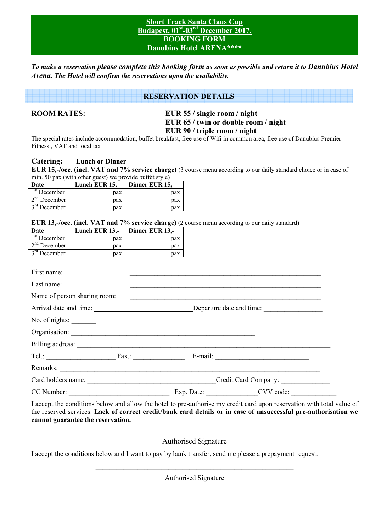#### **Short Track Santa Claus Cup Budapest, 01st-03rd December 2017. BOOKING FORM Danubius Hotel ARENA\*\*\*\***

*To make a reservation please complete this booking form as soon as possible and return it to Danubius Hotel Arena. The Hotel will confirm the reservations upon the availability.* 

#### **RESERVATION DETAILS**

**ROOM RATES: EUR 55 / single room / night EUR 65 / twin or double room / night EUR 90 / triple room / night** 

The special rates include accommodation, buffet breakfast, free use of Wifi in common area, free use of Danubius Premier Fitness , VAT and local tax

#### **Catering: Lunch or Dinner**

**EUR 15,-/occ. (incl. VAT and 7% service charge)** (3 course menu according to our daily standard choice or in case of min. 50 pax (with other guest) we provide buffet style)

| Date           | Lunch EUR $15$ . | Dinner EUR 15,- |
|----------------|------------------|-----------------|
| $1st$ December | pax              | pax             |
| $2nd$ December | pax              | pax             |
| $3rd$ December | pax              | pax             |

#### **EUR 13,-/occ. (incl. VAT and 7% service charge)** (2 course menu according to our daily standard)

|                |                              |                                      |  | <b>EUR 13,-/occ. (incl. VAT and 7% service charge)</b> (2 course menu according to our daily standard)               |
|----------------|------------------------------|--------------------------------------|--|----------------------------------------------------------------------------------------------------------------------|
| Date           |                              | Lunch EUR $13$ ,- Dinner EUR $13$ ,- |  |                                                                                                                      |
| $1st$ December |                              | pax                                  |  |                                                                                                                      |
| $2nd$ December | pax                          | pax                                  |  |                                                                                                                      |
| $3rd$ December |                              | $\alpha$ $\alpha$<br>pax             |  |                                                                                                                      |
|                |                              |                                      |  |                                                                                                                      |
| First name:    |                              |                                      |  | <u> 1989 - Andrea Santa Andrea Andrea Andrea Andrea Andrea Andrea Andrea Andrea Andrea Andrea Andrea Andrea Andr</u> |
| Last name:     |                              |                                      |  |                                                                                                                      |
|                | Name of person sharing room: |                                      |  |                                                                                                                      |
|                |                              |                                      |  |                                                                                                                      |
| No. of nights: |                              |                                      |  |                                                                                                                      |
|                |                              |                                      |  |                                                                                                                      |
|                |                              |                                      |  |                                                                                                                      |
|                |                              |                                      |  |                                                                                                                      |
|                |                              |                                      |  |                                                                                                                      |
|                |                              |                                      |  |                                                                                                                      |
|                |                              |                                      |  |                                                                                                                      |
|                |                              |                                      |  | I googen the conditions below and allow the hotel to are suthorise my credit card upon reservation with total w      |

I accept the conditions below and allow the hotel to pre-authorise my credit card upon reservation with total value of the reserved services. **Lack of correct credit/bank card details or in case of unsuccessful pre-authorisation we cannot guarantee the reservation.**  \_\_\_\_\_\_\_\_\_\_\_\_\_\_\_\_\_\_\_\_\_\_\_\_\_\_\_\_\_\_\_\_\_\_\_\_\_\_\_\_\_\_\_\_\_\_\_\_\_\_\_\_\_\_\_\_\_

Authorised Signature

I accept the conditions below and I want to pay by bank transfer, send me please a prepayment request.

\_\_\_\_\_\_\_\_\_\_\_\_\_\_\_\_\_\_\_\_\_\_\_\_\_\_\_\_\_\_\_\_\_\_\_\_\_\_\_\_\_\_\_\_\_\_\_\_\_\_\_\_\_\_\_\_\_ Authorised Signature